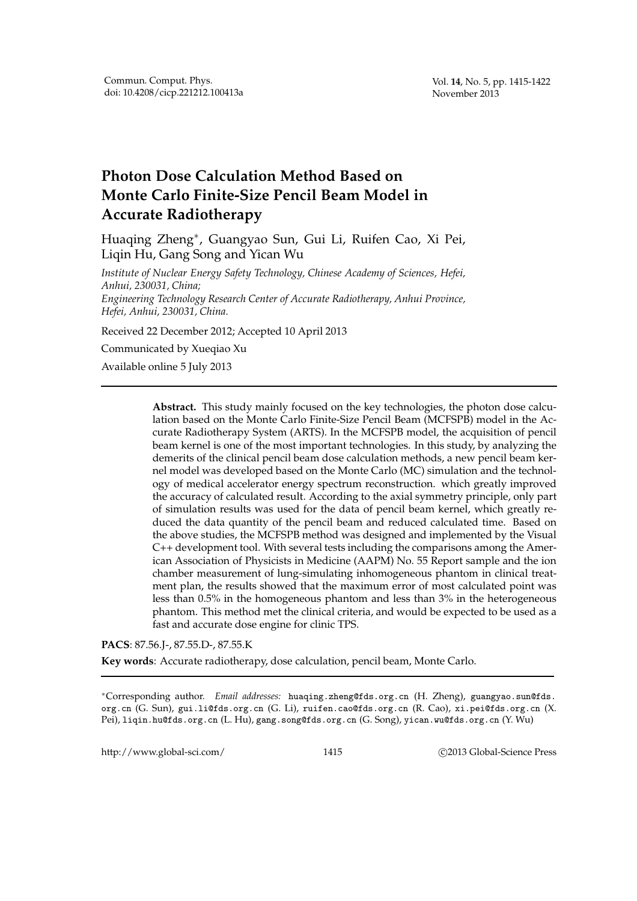# **Photon Dose Calculation Method Based on Monte Carlo Finite-Size Pencil Beam Model in Accurate Radiotherapy**

Huaqing Zheng<sup>∗</sup> , Guangyao Sun, Gui Li, Ruifen Cao, Xi Pei, Liqin Hu, Gang Song and Yican Wu

*Institute of Nuclear Energy Safety Technology, Chinese Academy of Sciences, Hefei, Anhui, 230031, China; Engineering Technology Research Center of Accurate Radiotherapy, Anhui Province, Hefei, Anhui, 230031, China.*

Received 22 December 2012; Accepted 10 April 2013

Communicated by Xueqiao Xu

Available online 5 July 2013

**Abstract.** This study mainly focused on the key technologies, the photon dose calculation based on the Monte Carlo Finite-Size Pencil Beam (MCFSPB) model in the Accurate Radiotherapy System (ARTS). In the MCFSPB model, the acquisition of pencil beam kernel is one of the most important technologies. In this study, by analyzing the demerits of the clinical pencil beam dose calculation methods, a new pencil beam kernel model was developed based on the Monte Carlo (MC) simulation and the technology of medical accelerator energy spectrum reconstruction. which greatly improved the accuracy of calculated result. According to the axial symmetry principle, only part of simulation results was used for the data of pencil beam kernel, which greatly reduced the data quantity of the pencil beam and reduced calculated time. Based on the above studies, the MCFSPB method was designed and implemented by the Visual C++ development tool. With several tests including the comparisons among the American Association of Physicists in Medicine (AAPM) No. 55 Report sample and the ion chamber measurement of lung-simulating inhomogeneous phantom in clinical treatment plan, the results showed that the maximum error of most calculated point was less than 0.5% in the homogeneous phantom and less than 3% in the heterogeneous phantom. This method met the clinical criteria, and would be expected to be used as a fast and accurate dose engine for clinic TPS.

**PACS**: 87.56.J-, 87.55.D-, 87.55.K

**Key words**: Accurate radiotherapy, dose calculation, pencil beam, Monte Carlo.

<sup>∗</sup>Corresponding author. *Email addresses:* huaqing.zheng@fds.org.cn (H. Zheng), guangyao.sun@fds. org.cn (G. Sun), gui.li@fds.org.cn (G. Li), ruifen.cao@fds.org.cn (R. Cao), xi.pei@fds.org.cn (X. Pei), liqin.hu@fds.org.cn (L. Hu), gang.song@fds.org.cn (G. Song), yican.wu@fds.org.cn (Y. Wu)

http://www.global-sci.com/ 1415 c 2013 Global-Science Press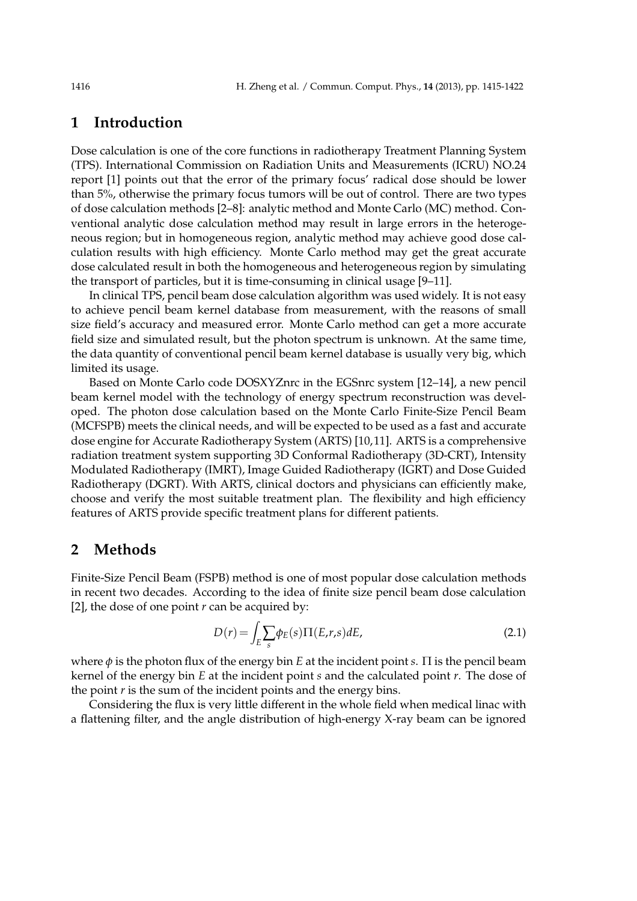# **1 Introduction**

Dose calculation is one of the core functions in radiotherapy Treatment Planning System (TPS). International Commission on Radiation Units and Measurements (ICRU) NO.24 report [1] points out that the error of the primary focus' radical dose should be lower than 5%, otherwise the primary focus tumors will be out of control. There are two types of dose calculation methods [2–8]: analytic method and Monte Carlo (MC) method. Conventional analytic dose calculation method may result in large errors in the heterogeneous region; but in homogeneous region, analytic method may achieve good dose calculation results with high efficiency. Monte Carlo method may get the great accurate dose calculated result in both the homogeneous and heterogeneous region by simulating the transport of particles, but it is time-consuming in clinical usage [9–11].

In clinical TPS, pencil beam dose calculation algorithm was used widely. It is not easy to achieve pencil beam kernel database from measurement, with the reasons of small size field's accuracy and measured error. Monte Carlo method can get a more accurate field size and simulated result, but the photon spectrum is unknown. At the same time, the data quantity of conventional pencil beam kernel database is usually very big, which limited its usage.

Based on Monte Carlo code DOSXYZnrc in the EGSnrc system [12–14], a new pencil beam kernel model with the technology of energy spectrum reconstruction was developed. The photon dose calculation based on the Monte Carlo Finite-Size Pencil Beam (MCFSPB) meets the clinical needs, and will be expected to be used as a fast and accurate dose engine for Accurate Radiotherapy System (ARTS) [10,11]. ARTS is a comprehensive radiation treatment system supporting 3D Conformal Radiotherapy (3D-CRT), Intensity Modulated Radiotherapy (IMRT), Image Guided Radiotherapy (IGRT) and Dose Guided Radiotherapy (DGRT). With ARTS, clinical doctors and physicians can efficiently make, choose and verify the most suitable treatment plan. The flexibility and high efficiency features of ARTS provide specific treatment plans for different patients.

## **2 Methods**

Finite-Size Pencil Beam (FSPB) method is one of most popular dose calculation methods in recent two decades. According to the idea of finite size pencil beam dose calculation [2], the dose of one point *r* can be acquired by:

$$
D(r) = \int_{E} \sum_{s} \phi_{E}(s) \Pi(E,r,s) dE,
$$
\n(2.1)

where *φ* is the photon flux of the energy bin *E* at the incident point *s*. Π is the pencil beam kernel of the energy bin *E* at the incident point *s* and the calculated point *r*. The dose of the point *r* is the sum of the incident points and the energy bins.

Considering the flux is very little different in the whole field when medical linac with a flattening filter, and the angle distribution of high-energy X-ray beam can be ignored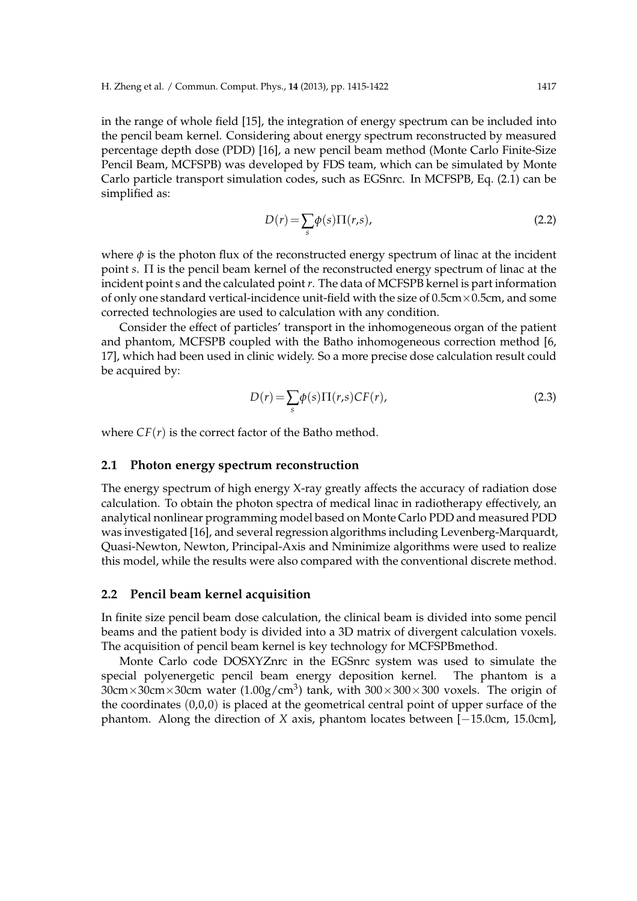simplified as:

in the range of whole field [15], the integration of energy spectrum can be included into the pencil beam kernel. Considering about energy spectrum reconstructed by measured percentage depth dose (PDD) [16], a new pencil beam method (Monte Carlo Finite-Size Pencil Beam, MCFSPB) was developed by FDS team, which can be simulated by Monte Carlo particle transport simulation codes, such as EGSnrc. In MCFSPB, Eq. (2.1) can be

$$
D(r) = \sum_{s} \phi(s) \Pi(r, s),
$$
\n(2.2)

where  $\phi$  is the photon flux of the reconstructed energy spectrum of linac at the incident point *s*. Π is the pencil beam kernel of the reconstructed energy spectrum of linac at the incident point s and the calculated point*r*. The data of MCFSPB kernel is part information of only one standard vertical-incidence unit-field with the size of  $0.5cm \times 0.5cm$ , and some corrected technologies are used to calculation with any condition.

Consider the effect of particles' transport in the inhomogeneous organ of the patient and phantom, MCFSPB coupled with the Batho inhomogeneous correction method [6, 17], which had been used in clinic widely. So a more precise dose calculation result could be acquired by:

$$
D(r) = \sum_{s} \phi(s) \Pi(r, s) CF(r),
$$
\n(2.3)

where  $CF(r)$  is the correct factor of the Batho method.

### **2.1 Photon energy spectrum reconstruction**

The energy spectrum of high energy X-ray greatly affects the accuracy of radiation dose calculation. To obtain the photon spectra of medical linac in radiotherapy effectively, an analytical nonlinear programming model based on Monte Carlo PDD and measured PDD was investigated [16], and several regression algorithms including Levenberg-Marquardt, Quasi-Newton, Newton, Principal-Axis and Nminimize algorithms were used to realize this model, while the results were also compared with the conventional discrete method.

#### **2.2 Pencil beam kernel acquisition**

In finite size pencil beam dose calculation, the clinical beam is divided into some pencil beams and the patient body is divided into a 3D matrix of divergent calculation voxels. The acquisition of pencil beam kernel is key technology for MCFSPBmethod.

Monte Carlo code DOSXYZnrc in the EGSnrc system was used to simulate the special polyenergetic pencil beam energy deposition kernel. The phantom is a  $30cm \times 30cm \times 30cm$  water (1.00g/cm<sup>3</sup>) tank, with  $300 \times 300 \times 300$  voxels. The origin of the coordinates  $(0,0,0)$  is placed at the geometrical central point of upper surface of the phantom. Along the direction of *X* axis, phantom locates between [−15.0cm, 15.0cm],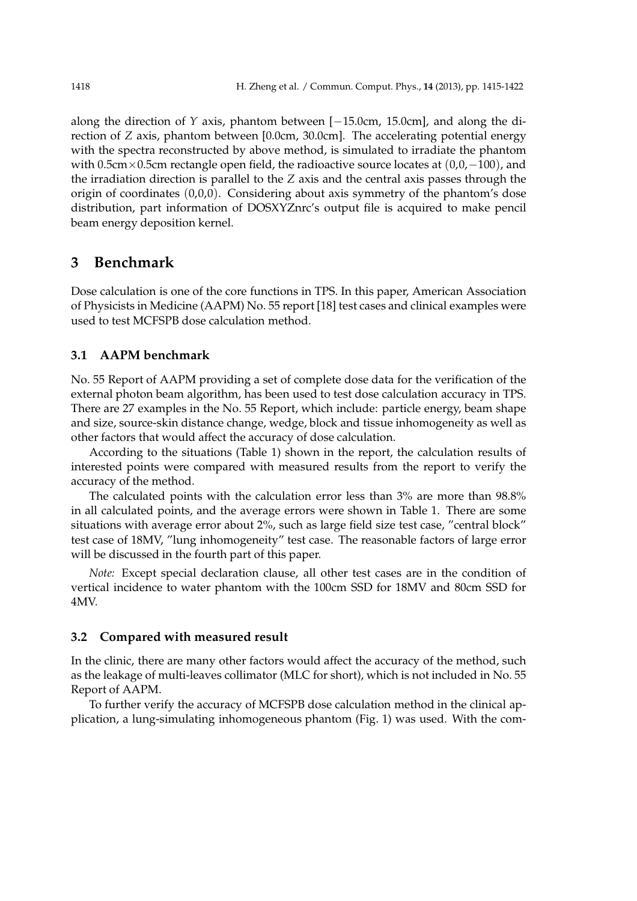along the direction of *Y* axis, phantom between [−15.0cm, 15.0cm], and along the direction of *Z* axis, phantom between [0.0cm, 30.0cm]. The accelerating potential energy with the spectra reconstructed by above method, is simulated to irradiate the phantom with 0.5cm×0.5cm rectangle open field, the radioactive source locates at  $(0,0,-100)$ , and the irradiation direction is parallel to the *Z* axis and the central axis passes through the origin of coordinates (0,0,0). Considering about axis symmetry of the phantom's dose distribution, part information of DOSXYZnrc's output file is acquired to make pencil beam energy deposition kernel.

## **3 Benchmark**

Dose calculation is one of the core functions in TPS. In this paper, American Association of Physicists in Medicine (AAPM) No. 55 report [18] test cases and clinical examples were used to test MCFSPB dose calculation method.

## **3.1 AAPM benchmark**

No. 55 Report of AAPM providing a set of complete dose data for the verification of the external photon beam algorithm, has been used to test dose calculation accuracy in TPS. There are 27 examples in the No. 55 Report, which include: particle energy, beam shape and size, source-skin distance change, wedge, block and tissue inhomogeneity as well as other factors that would affect the accuracy of dose calculation.

According to the situations (Table 1) shown in the report, the calculation results of interested points were compared with measured results from the report to verify the accuracy of the method.

The calculated points with the calculation error less than 3% are more than 98.8% in all calculated points, and the average errors were shown in Table 1. There are some situations with average error about 2%, such as large field size test case, "central block" test case of 18MV, "lung inhomogeneity" test case. The reasonable factors of large error will be discussed in the fourth part of this paper.

*Note:* Except special declaration clause, all other test cases are in the condition of vertical incidence to water phantom with the 100cm SSD for 18MV and 80cm SSD for 4MV.

## **3.2 Compared with measured result**

In the clinic, there are many other factors would affect the accuracy of the method, such as the leakage of multi-leaves collimator (MLC for short), which is not included in No. 55 Report of AAPM.

To further verify the accuracy of MCFSPB dose calculation method in the clinical application, a lung-simulating inhomogeneous phantom (Fig. 1) was used. With the com-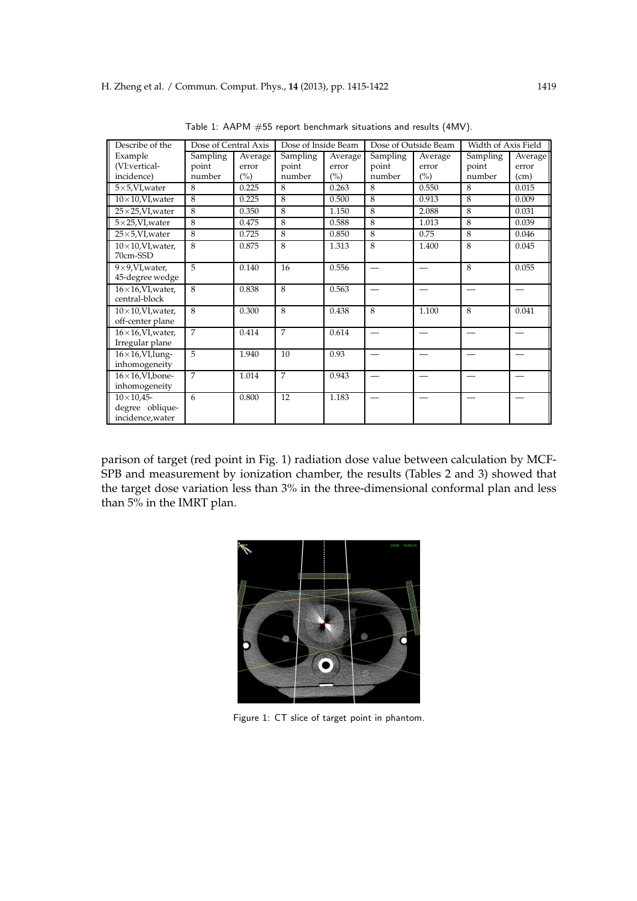| Describe of the                                           | Dose of Central Axis |         | Dose of Inside Beam |         |          | Dose of Outside Beam | Width of Axis Field |         |
|-----------------------------------------------------------|----------------------|---------|---------------------|---------|----------|----------------------|---------------------|---------|
| Example                                                   | Sampling             | Average | Sampling            | Average | Sampling | Average              | Sampling            | Average |
| (VI:vertical-                                             | point                | error   | point               | error   | point    | error                | point               | error   |
| incidence)                                                | number               | (%)     | number              | (%)     | number   | (%)                  | number              | (cm)    |
| $5\times5$ , VI, water                                    | 8                    | 0.225   | 8                   | 0.263   | 8        | 0.550                | 8                   | 0.015   |
| $10\times10$ , VI, water                                  | $\overline{8}$       | 0.225   | 8                   | 0.500   | 8        | 0.913                | 8                   | 0.009   |
| $25\times25$ , VI, water                                  | 8                    | 0.350   | 8                   | 1.150   | 8        | 2.088                | 8                   | 0.031   |
| $5\times25$ , VI, water                                   | 8                    | 0.475   | 8                   | 0.588   | 8        | 1.013                | 8                   | 0.039   |
| $25\times5$ , VI, water                                   | 8                    | 0.725   | 8                   | 0.850   | 8        | 0.75                 | 8                   | 0.046   |
| $10\times10$ , VI, water,<br>70cm-SSD                     | 8                    | 0.875   | 8                   | 1.313   | 8        | 1.400                | 8                   | 0.045   |
| $9\times9$ , VI, water,<br>45-degree wedge                | 5                    | 0.140   | 16                  | 0.556   |          |                      | 8                   | 0.055   |
| $16\times16$ , VI, water,<br>central-block                | 8                    | 0.838   | 8                   | 0.563   |          |                      |                     |         |
| $10\times10$ , VI, water,<br>off-center plane             | 8                    | 0.300   | 8                   | 0.438   | 8        | 1.100                | 8                   | 0.041   |
| $16\times16$ , VI, water,<br>Irregular plane              | $\overline{7}$       | 0.414   | $\overline{7}$      | 0.614   |          |                      |                     |         |
| $16\times16$ , VI, lung-<br>inhomogeneity                 | $\overline{5}$       | 1.940   | 10                  | 0.93    |          |                      |                     |         |
| $16\times16$ , VI, bone-<br>inhomogeneity                 | $\overline{7}$       | 1.014   | $\overline{7}$      | 0.943   |          |                      |                     |         |
| $10\times 10,45$ -<br>degree oblique-<br>incidence, water | 6                    | 0.800   | 12                  | 1.183   |          |                      |                     |         |

Table 1: AAPM #55 report benchmark situations and results (4MV).

parison of target (red point in Fig. 1) radiation dose value between calculation by MCF-SPB and measurement by ionization chamber, the results (Tables 2 and 3) showed that the target dose variation less than 3% in the three-dimensional conformal plan and less than 5% in the IMRT plan.



Figure 1: CT slice of target point in phantom.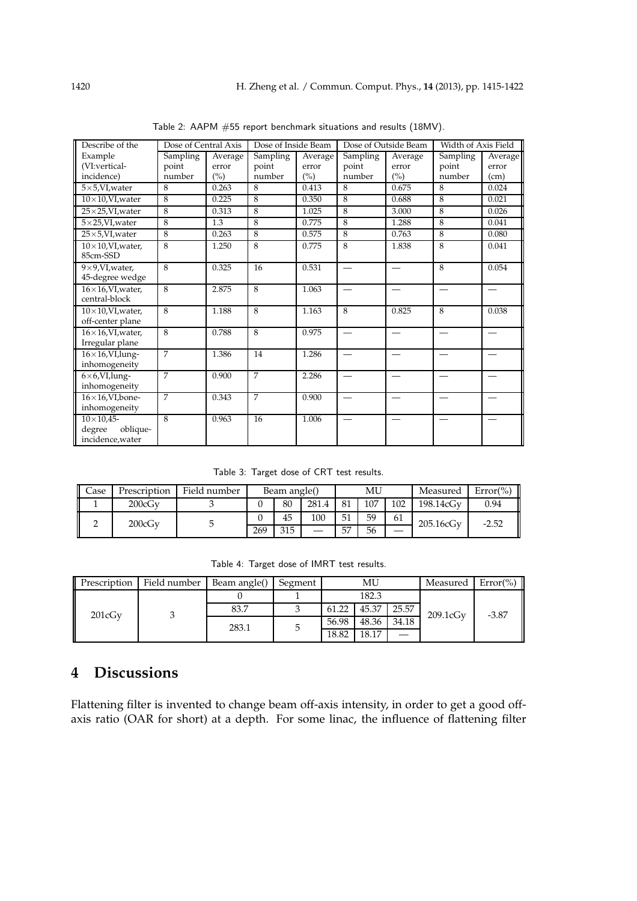| Describe of the                                              | Dose of Central Axis |         | Dose of Inside Beam |         |                 | Dose of Outside Beam | Width of Axis Field |                                           |
|--------------------------------------------------------------|----------------------|---------|---------------------|---------|-----------------|----------------------|---------------------|-------------------------------------------|
| Example                                                      | Sampling             | Average | <b>Sampling</b>     | Average | <b>Sampling</b> | Average              | Sampling            | Average                                   |
| (VI:vertical-                                                | point                | error   | point               | error   | point           | error                | point               | error                                     |
| incidence)                                                   | number               | (%)     | number              | (%)     | number          | (%)                  | number              | (cm)                                      |
| $5\times5$ , VI, water                                       | 8                    | 0.263   | 8                   | 0.413   | 8               | 0.675                | 8                   | 0.024                                     |
| $10\times10$ , VI, water                                     | 8                    | 0.225   | 8                   | 0.350   | 8               | 0.688                | 8                   | 0.021                                     |
| $25\times25$ , VI, water                                     | 8                    | 0.313   | 8                   | 1.025   | 8               | 3.000                | 8                   | 0.026                                     |
| $5\times25$ , VI, water                                      | 8                    | 1.3     | 8                   | 0.775   | 8               | 1.288                | 8                   | 0.041                                     |
| $25\times5$ , VI, water                                      | $\overline{8}$       | 0.263   | 8                   | 0.575   | 8               | 0.763                | 8                   | 0.080                                     |
| $10\times10$ , VI, water,<br>85cm-SSD                        | 8                    | 1.250   | 8                   | 0.775   | 8               | 1.838                | 8                   | 0.041                                     |
| $9\times9$ , VI, water,<br>45-degree wedge                   | 8                    | 0.325   | 16                  | 0.531   |                 |                      | 8                   | 0.054                                     |
| $16\times16$ , VI, water,<br>central-block                   | 8                    | 2.875   | 8                   | 1.063   |                 |                      |                     | $\qquad \qquad \overline{\qquad \qquad }$ |
| $10\times10$ , VI, water,<br>off-center plane                | 8                    | 1.188   | 8                   | 1.163   | 8               | 0.825                | 8                   | 0.038                                     |
| $16\times16$ , VI, water,<br>Irregular plane                 | $\overline{8}$       | 0.788   | $\overline{8}$      | 0.975   |                 |                      |                     |                                           |
| $16\times16$ , VI, lung-<br>inhomogeneity                    | 7                    | 1.386   | 14                  | 1.286   |                 |                      |                     |                                           |
| $6\times6$ , VI, lung-<br>inhomogeneity                      | 7                    | 0.900   | 7                   | 2.286   |                 |                      |                     |                                           |
| $16\times16$ , VI, bone-<br>inhomogeneity                    | $\overline{7}$       | 0.343   | 7                   | 0.900   |                 |                      |                     |                                           |
| $10\times 10,45$ -<br>oblique-<br>degree<br>incidence, water | 8                    | 0.963   | 16                  | 1.006   |                 |                      |                     |                                           |

Table 2: AAPM #55 report benchmark situations and results (18MV).

Table 3: Target dose of CRT test results.

| <b>Case</b> | Prescription | Field number | Beam angle() |     | MU    |    |     | Measured  | $Error(\% )$ |      |
|-------------|--------------|--------------|--------------|-----|-------|----|-----|-----------|--------------|------|
|             | 200cGv       |              |              | 80  | 281.4 | 81 | 107 | 102       | 198.14cGv    | 0.94 |
| 200cGv      |              |              | 45           | 100 | 51    | 59 | 61  | 205.16cGv | $-2.52$      |      |
|             |              | 269          | 315          |     | 57    | 56 |     |           |              |      |

Table 4: Target dose of IMRT test results.

| Prescription | Field number | Beam angle() | Segment | MU    |       | Measured | $Error(\% )$ |         |
|--------------|--------------|--------------|---------|-------|-------|----------|--------------|---------|
| 201cGv       |              |              |         | 182.3 |       |          |              |         |
|              |              | 83.7         |         | 61.22 | 45.37 | 25.57    | 209.1cGv     | $-3.87$ |
|              |              | 283.1        |         | 56.98 | 48.36 | 34.18    |              |         |
|              |              |              |         | 18.82 | 18.17 |          |              |         |

# **4 Discussions**

Flattening filter is invented to change beam off-axis intensity, in order to get a good offaxis ratio (OAR for short) at a depth. For some linac, the influence of flattening filter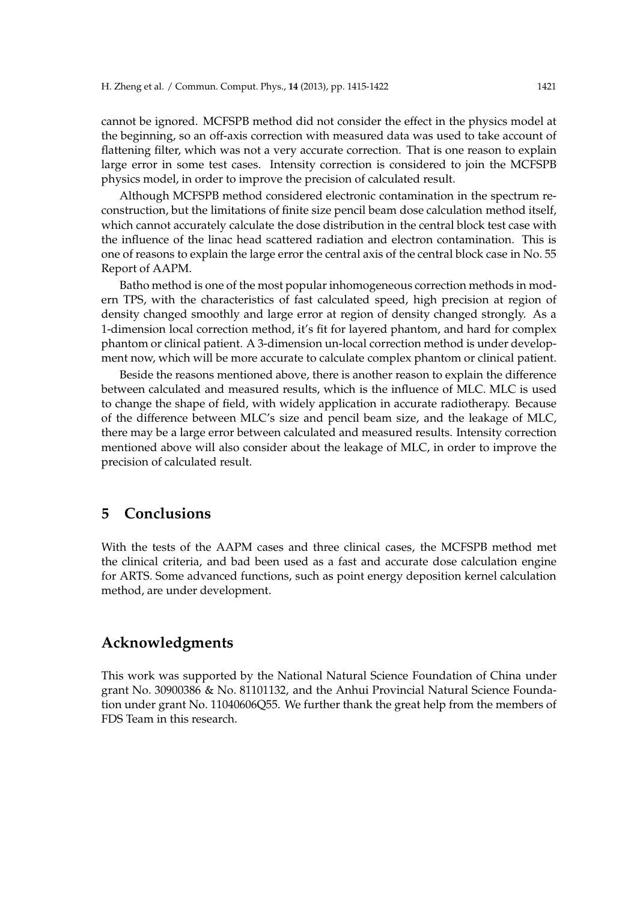cannot be ignored. MCFSPB method did not consider the effect in the physics model at the beginning, so an off-axis correction with measured data was used to take account of flattening filter, which was not a very accurate correction. That is one reason to explain large error in some test cases. Intensity correction is considered to join the MCFSPB physics model, in order to improve the precision of calculated result.

Although MCFSPB method considered electronic contamination in the spectrum reconstruction, but the limitations of finite size pencil beam dose calculation method itself, which cannot accurately calculate the dose distribution in the central block test case with the influence of the linac head scattered radiation and electron contamination. This is one of reasons to explain the large error the central axis of the central block case in No. 55 Report of AAPM.

Batho method is one of the most popular inhomogeneous correction methods in modern TPS, with the characteristics of fast calculated speed, high precision at region of density changed smoothly and large error at region of density changed strongly. As a 1-dimension local correction method, it's fit for layered phantom, and hard for complex phantom or clinical patient. A 3-dimension un-local correction method is under development now, which will be more accurate to calculate complex phantom or clinical patient.

Beside the reasons mentioned above, there is another reason to explain the difference between calculated and measured results, which is the influence of MLC. MLC is used to change the shape of field, with widely application in accurate radiotherapy. Because of the difference between MLC's size and pencil beam size, and the leakage of MLC, there may be a large error between calculated and measured results. Intensity correction mentioned above will also consider about the leakage of MLC, in order to improve the precision of calculated result.

## **5 Conclusions**

With the tests of the AAPM cases and three clinical cases, the MCFSPB method met the clinical criteria, and bad been used as a fast and accurate dose calculation engine for ARTS. Some advanced functions, such as point energy deposition kernel calculation method, are under development.

## **Acknowledgments**

This work was supported by the National Natural Science Foundation of China under grant No. 30900386 & No. 81101132, and the Anhui Provincial Natural Science Foundation under grant No. 11040606Q55. We further thank the great help from the members of FDS Team in this research.